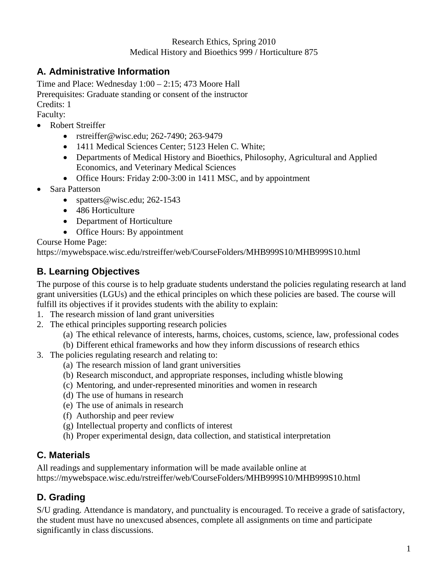#### **A. Administrative Information**

Time and Place: Wednesday 1:00 – 2:15; 473 Moore Hall Prerequisites: Graduate standing or consent of the instructor Credits: 1

Faculty:

- Robert Streiffer
	- rstreiffer@wisc.edu; 262-7490; 263-9479
	- 1411 Medical Sciences Center; 5123 Helen C. White;
	- Departments of Medical History and Bioethics, Philosophy, Agricultural and Applied Economics, and Veterinary Medical Sciences
	- Office Hours: Friday 2:00-3:00 in 1411 MSC, and by appointment
- Sara Patterson
	- spatters@wisc.edu; 262-1543
	- 486 Horticulture
	- Department of Horticulture
	- Office Hours: By appointment

Course Home Page:

https://mywebspace.wisc.edu/rstreiffer/web/CourseFolders/MHB999S10/MHB999S10.html

# **B. Learning Objectives**

The purpose of this course is to help graduate students understand the policies regulating research at land grant universities (LGUs) and the ethical principles on which these policies are based. The course will fulfill its objectives if it provides students with the ability to explain:

- 1. The research mission of land grant universities
- 2. The ethical principles supporting research policies
	- (a) The ethical relevance of interests, harms, choices, customs, science, law, professional codes
	- (b) Different ethical frameworks and how they inform discussions of research ethics
- 3. The policies regulating research and relating to:
	- (a) The research mission of land grant universities
	- (b) Research misconduct, and appropriate responses, including whistle blowing
	- (c) Mentoring, and under-represented minorities and women in research
	- (d) The use of humans in research
	- (e) The use of animals in research
	- (f) Authorship and peer review
	- (g) Intellectual property and conflicts of interest
	- (h) Proper experimental design, data collection, and statistical interpretation

#### **C. Materials**

All readings and supplementary information will be made available online at https://mywebspace.wisc.edu/rstreiffer/web/CourseFolders/MHB999S10/MHB999S10.html

# **D. Grading**

S/U grading. Attendance is mandatory, and punctuality is encouraged. To receive a grade of satisfactory, the student must have no unexcused absences, complete all assignments on time and participate significantly in class discussions.